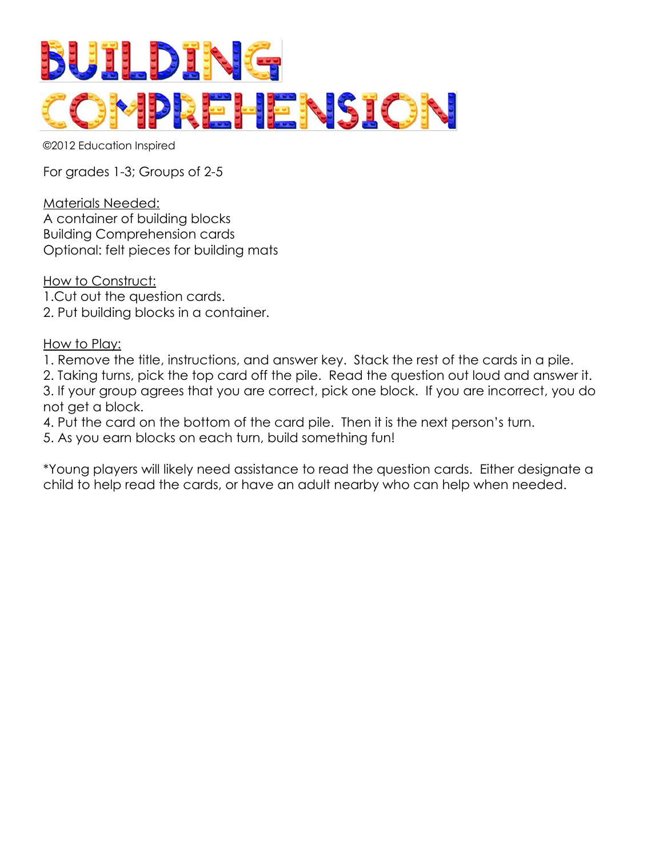

©2012 Education Inspired

For grades 1-3; Groups of 2-5

Materials Needed: A container of building blocks Building Comprehension cards Optional: felt pieces for building mats

How to Construct: 1.Cut out the question cards. 2. Put building blocks in a container.

How to Play:

- 1. Remove the title, instructions, and answer key. Stack the rest of the cards in a pile.
- 2. Taking turns, pick the top card off the pile. Read the question out loud and answer it.

3. If your group agrees that you are correct, pick one block. If you are incorrect, you do not get a block.

4. Put the card on the bottom of the card pile. Then it is the next person's turn.

5. As you earn blocks on each turn, build something fun!

\*Young players will likely need assistance to read the question cards. Either designate a child to help read the cards, or have an adult nearby who can help when needed.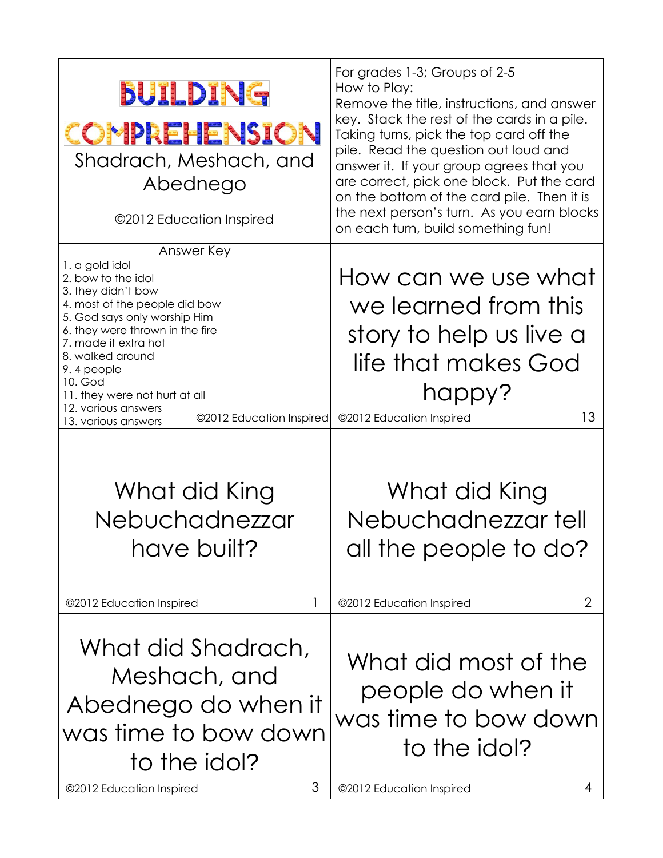| BUILDING<br>COMPREHENSION<br>Shadrach, Meshach, and<br>Abednego<br>©2012 Education Inspired                                                                                                                                                                                                                                                                  | For grades 1-3; Groups of 2-5<br>How to Play:<br>Remove the title, instructions, and answer<br>key. Stack the rest of the cards in a pile.<br>Taking turns, pick the top card off the<br>pile. Read the question out loud and<br>answer it. If your group agrees that you<br>are correct, pick one block. Put the card<br>on the bottom of the card pile. Then it is<br>the next person's turn. As you earn blocks<br>on each turn, build something fun! |
|--------------------------------------------------------------------------------------------------------------------------------------------------------------------------------------------------------------------------------------------------------------------------------------------------------------------------------------------------------------|----------------------------------------------------------------------------------------------------------------------------------------------------------------------------------------------------------------------------------------------------------------------------------------------------------------------------------------------------------------------------------------------------------------------------------------------------------|
| Answer Key<br>1. a gold idol<br>2. bow to the idol<br>3. they didn't bow<br>4. most of the people did bow<br>5. God says only worship Him<br>6. they were thrown in the fire<br>7. made it extra hot<br>8. walked around<br>9.4 people<br>10. God<br>11. they were not hurt at all<br>12. various answers<br>©2012 Education Inspired<br>13. various answers | How can we use what<br>we learned from this<br>story to help us live a<br>life that makes God<br>happy?<br>13<br>@2012 Education Inspired                                                                                                                                                                                                                                                                                                                |
| What did King<br>Nebuchadnezzar<br>have built?<br>1<br>©2012 Education Inspired                                                                                                                                                                                                                                                                              | What did King<br>Nebuchadnezzar tell<br>all the people to do?<br>2<br>©2012 Education Inspired                                                                                                                                                                                                                                                                                                                                                           |
| What did Shadrach,<br>Meshach, and<br>Abednego do when it<br>was time to bow down<br>to the idol?<br>3<br>©2012 Education Inspired                                                                                                                                                                                                                           | What did most of the<br>people do when it<br>was time to bow down<br>to the idol?<br>©2012 Education Inspired                                                                                                                                                                                                                                                                                                                                            |